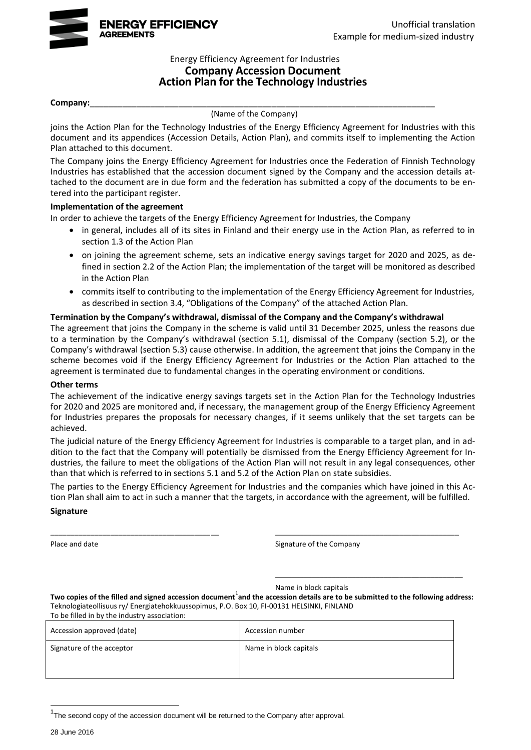

#### Energy Efficiency Agreement for Industries **Company Accession Document Action Plan for the Technology Industries**

#### **Company:**\_\_\_\_\_\_\_\_\_\_\_\_\_\_\_\_\_\_\_\_\_\_\_\_\_\_\_\_\_\_\_\_\_\_\_\_\_\_\_\_\_\_\_\_\_\_\_\_\_\_\_\_\_\_\_\_\_\_\_\_\_\_\_\_\_\_\_\_\_\_\_\_\_\_

(Name of the Company)

joins the Action Plan for the Technology Industries of the Energy Efficiency Agreement for Industries with this document and its appendices (Accession Details, Action Plan), and commits itself to implementing the Action Plan attached to this document.

The Company joins the Energy Efficiency Agreement for Industries once the Federation of Finnish Technology Industries has established that the accession document signed by the Company and the accession details attached to the document are in due form and the federation has submitted a copy of the documents to be entered into the participant register.

#### **Implementation of the agreement**

In order to achieve the targets of the Energy Efficiency Agreement for Industries, the Company

- in general, includes all of its sites in Finland and their energy use in the Action Plan, as referred to in section 1.3 of the Action Plan
- on joining the agreement scheme, sets an indicative energy savings target for 2020 and 2025, as defined in section 2.2 of the Action Plan; the implementation of the target will be monitored as described in the Action Plan
- commits itself to contributing to the implementation of the Energy Efficiency Agreement for Industries, as described in section 3.4, "Obligations of the Company" of the attached Action Plan.

#### **Termination by the Company's withdrawal, dismissal of the Company and the Company's withdrawal**

The agreement that joins the Company in the scheme is valid until 31 December 2025, unless the reasons due to a termination by the Company's withdrawal (section 5.1), dismissal of the Company (section 5.2), or the Company's withdrawal (section 5.3) cause otherwise. In addition, the agreement that joins the Company in the scheme becomes void if the Energy Efficiency Agreement for Industries or the Action Plan attached to the agreement is terminated due to fundamental changes in the operating environment or conditions.

#### **Other terms**

The achievement of the indicative energy savings targets set in the Action Plan for the Technology Industries for 2020 and 2025 are monitored and, if necessary, the management group of the Energy Efficiency Agreement for Industries prepares the proposals for necessary changes, if it seems unlikely that the set targets can be achieved.

The judicial nature of the Energy Efficiency Agreement for Industries is comparable to a target plan, and in addition to the fact that the Company will potentially be dismissed from the Energy Efficiency Agreement for Industries, the failure to meet the obligations of the Action Plan will not result in any legal consequences, other than that which is referred to in sections 5.1 and 5.2 of the Action Plan on state subsidies.

The parties to the Energy Efficiency Agreement for Industries and the companies which have joined in this Action Plan shall aim to act in such a manner that the targets, in accordance with the agreement, will be fulfilled.

\_\_\_\_\_\_\_\_\_\_\_\_\_\_\_\_\_\_\_\_\_\_\_\_\_\_\_\_\_\_\_\_\_\_\_\_\_\_\_\_\_\_ \_\_\_\_\_\_\_\_\_\_\_\_\_\_\_\_\_\_\_\_\_\_\_\_\_\_\_\_\_\_\_\_\_\_\_\_\_\_\_\_\_\_\_\_\_\_

#### **Signature**

Place and date **Signature of the Company** 

\_\_\_\_\_\_\_\_\_\_\_\_\_\_\_\_\_\_\_\_\_\_\_\_\_\_\_\_\_\_\_\_\_\_\_\_\_\_\_\_\_\_\_\_\_\_\_

Name in block capitals

Two copies of the filled and signed accession document<sup>1</sup>and the accession details are to be submitted to the following address: Teknologiateollisuus ry/ Energiatehokkuussopimus, P.O. Box 10, FI-00131 HELSINKI, FINLAND To be filled in by the industry association:

| To be filled in by the industry association: |                        |
|----------------------------------------------|------------------------|
| Accession approved (date)                    | Accession number       |
| Signature of the acceptor                    | Name in block capitals |

 $1$ The second copy of the accession document will be returned to the Company after approval.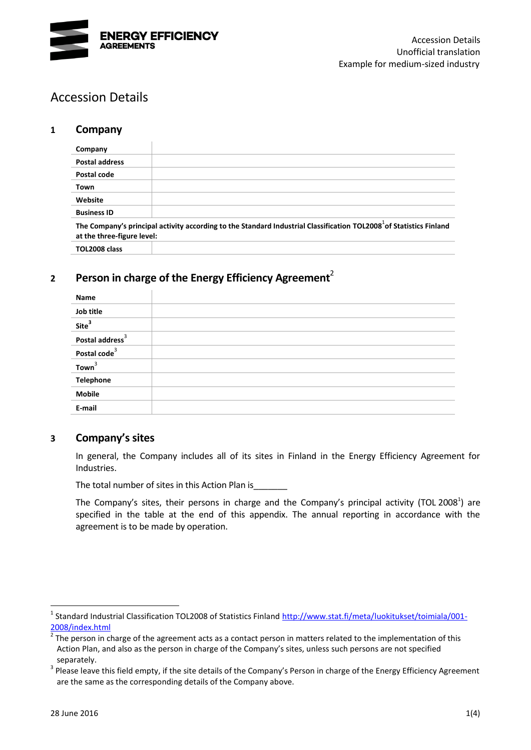

# Accession Details

### **1 Company**

<span id="page-1-1"></span>

| Company                    |                                                                                                                                 |
|----------------------------|---------------------------------------------------------------------------------------------------------------------------------|
| <b>Postal address</b>      |                                                                                                                                 |
| Postal code                |                                                                                                                                 |
| Town                       |                                                                                                                                 |
| Website                    |                                                                                                                                 |
| <b>Business ID</b>         |                                                                                                                                 |
| at the three-figure level: | The Company's principal activity according to the Standard Industrial Classification TOL2008 <sup>1</sup> of Statistics Finland |
| TOL2008 class              |                                                                                                                                 |

## **<sup>2</sup> Person in charge of the Energy Efficiency Agreement**<sup>2</sup>

<span id="page-1-0"></span>

| Name                        |  |
|-----------------------------|--|
| Job title                   |  |
| Site <sup>3</sup>           |  |
| Postal address <sup>3</sup> |  |
| Postal code <sup>3</sup>    |  |
| Town <sup>3</sup>           |  |
| Telephone                   |  |
| <b>Mobile</b>               |  |
| E-mail                      |  |

### **3 Company's sites**

In general, the Company includes all of its sites in Finland in the Energy Efficiency Agreement for Industries.

The total number of sites in this Action Plan is

The Company's sites, their persons in charge and the Company's principal activity (TOL 200[8](#page-1-1)<sup>1</sup>) are specified in the table at the end of this appendix. The annual reporting in accordance with the agreement is to be made by operation.

<sup>&</sup>lt;sup>1</sup> Standard Industrial Classification TOL2008 of Statistics Finland [http://www.stat.fi/meta/luokitukset/toimiala/001-](http://www.stat.fi/meta/luokitukset/toimiala/001-2008/index.html) [2008/index.html](http://www.stat.fi/meta/luokitukset/toimiala/001-2008/index.html)

<sup>2</sup> The person in charge of the agreement acts as a contact person in matters related to the implementation of this Action Plan, and also as the person in charge of the Company's sites, unless such persons are not specified separately.

 $3$  Please leave this field empty, if the site details of the Company's Person in charge of the Energy Efficiency Agreement are the same as the corresponding details of the Company above.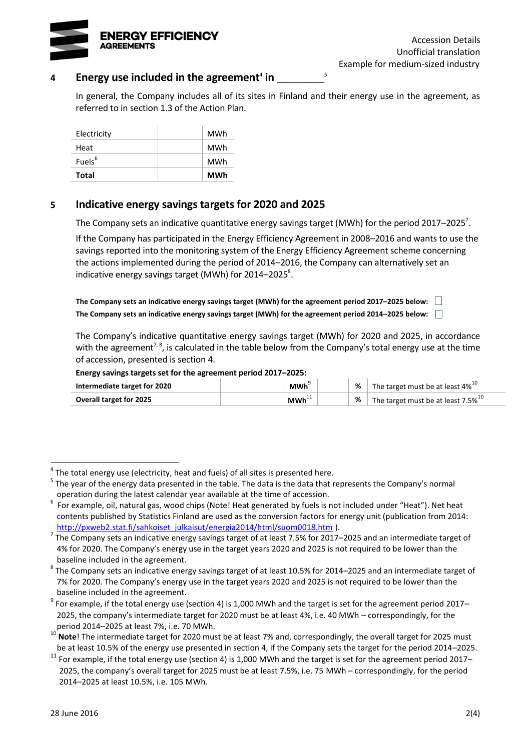

### 4 Energy use included in the agreement<sup>4</sup> in \_\_\_\_\_\_\_\_\_

In general, the Company includes all of its sites in Finland and their energy use in the agreement, as referred to in section 1.3 of the Action Plan.

<span id="page-2-2"></span><span id="page-2-1"></span><span id="page-2-0"></span>5

| Electricity        | MWh |
|--------------------|-----|
| Heat               | MWh |
| Fuels <sup>6</sup> | MWh |
| Total              | MWh |

### **5 Indicative energy savings targets for 2020 and 2025**

The Company sets an indicative quantitative energy savings target (MWh) for the period 2017–2025<sup>7</sup>.

If the Company has participated in the Energy Efficiency Agreement in 2008–2016 and wants to use the savings reported into the monitoring system of the Energy Efficiency Agreement scheme concerning the actions implemented during the period of 2014–2016, the Company can alternatively set an indicative energy savings target (MWh) for 2014–2025 $^8$ .

**The Company sets an indicative energy savings target (MWh) for the agreement period 2017–2025 below: The Company sets an indicative energy savings target (MWh) for the agreement period 2014–2025 below:**

The Company's indicative quantitative energy savings target (MWh) for 2020 and 2025, in accordance with the agreement<sup>[7,](#page-2-0) [8](#page-2-1)</sup>, is calculated in the table below from the Company's total energy use at the time of accession, presented is section 4.

#### **Energy savings targets set for the agreement period 2017–2025:**

| Intermediate target for 2020   | <b>MWh</b> | % | The target must be at least 4% $^{10}$   |
|--------------------------------|------------|---|------------------------------------------|
| <b>Overall target for 2025</b> | $MWh^{+1}$ |   | The target must be at least 7.5% $^{10}$ |

 $^4$  The total energy use (electricity, heat and fuels) of all sites is presented here.

<sup>&</sup>lt;sup>5</sup> The year of the energy data presented in the table. The data is the data that represents the Company's normal operation during the latest calendar year available at the time of accession.

 $^6$  For example, oil, natural gas, wood chips (Note! Heat generated by fuels is not included under "Heat"). Net heat contents published by Statistics Finland are used as the conversion factors for energy unit (publication from 2014: [http://pxweb2.stat.fi/sahkoiset\\_julkaisut/energia2014/html/suom0018.htm](http://pxweb2.stat.fi/sahkoiset_julkaisut/energia2014/html/suom0018.htm) ).

<sup>7</sup> The Company sets an indicative energy savings target of at least 7.5% for 2017–2025 and an intermediate target of 4% for 2020. The Company's energy use in the target years 2020 and 2025 is not required to be lower than the baseline included in the agreement.

 $^8$  The Company sets an indicative energy savings target of at least 10.5% for 2014–2025 and an intermediate target of 7% for 2020. The Company's energy use in the target years 2020 and 2025 is not required to be lower than the baseline included in the agreement.

 $^9$  For example, if the total energy use (section 4) is 1,000 MWh and the target is set for the agreement period 2017– 2025, the company's intermediate target for 2020 must be at least 4%, i.e. 40 MWh – correspondingly, for the period 2014–2025 at least 7%, i.e. 70 MWh.

<sup>&</sup>lt;sup>10</sup> Note! The intermediate target for 2020 must be at least 7% and, correspondingly, the overall target for 2025 must be at least 10.5% of the energy use presented in section 4, if the Company sets the target for the period 2014–2025.

 $11$  For example, if the total energy use (section 4) is 1,000 MWh and the target is set for the agreement period 2017– 2025, the company's overall target for 2025 must be at least 7.5%, i.e. 75 MWh – correspondingly, for the period 2014–2025 at least 10.5%, i.e. 105 MWh.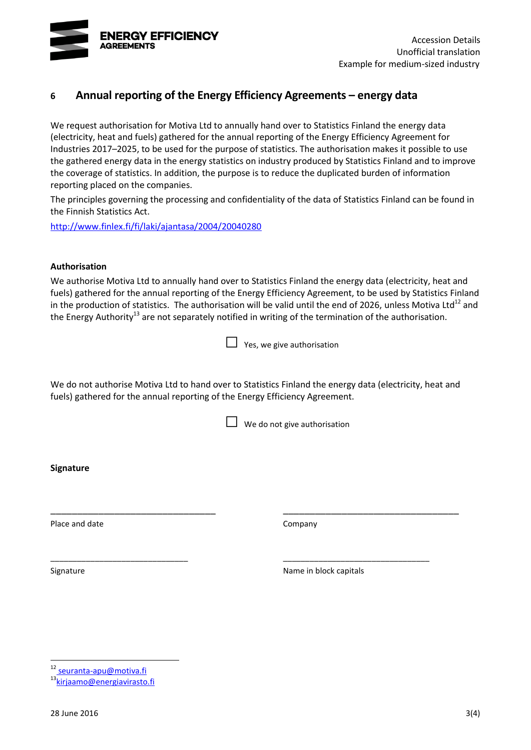

### **6 Annual reporting of the Energy Efficiency Agreements – energy data**

We request authorisation for Motiva Ltd to annually hand over to Statistics Finland the energy data (electricity, heat and fuels) gathered for the annual reporting of the Energy Efficiency Agreement for Industries 2017–2025, to be used for the purpose of statistics. The authorisation makes it possible to use the gathered energy data in the energy statistics on industry produced by Statistics Finland and to improve the coverage of statistics. In addition, the purpose is to reduce the duplicated burden of information reporting placed on the companies.

The principles governing the processing and confidentiality of the data of Statistics Finland can be found in the Finnish Statistics Act.

<http://www.finlex.fi/fi/laki/ajantasa/2004/20040280>

#### **Authorisation**

We authorise Motiva Ltd to annually hand over to Statistics Finland the energy data (electricity, heat and fuels) gathered for the annual reporting of the Energy Efficiency Agreement, to be used by Statistics Finland in the production of statistics. The authorisation will be valid until the end of 2026, unless Motiva Ltd<sup>12</sup> and the Energy Authority<sup>13</sup> are not separately notified in writing of the termination of the authorisation.

We do not authorise Motiva Ltd to hand over to Statistics Finland the energy data (electricity, heat and fuels) gathered for the annual reporting of the Energy Efficiency Agreement.

\_\_\_\_\_\_\_\_\_\_\_\_\_\_\_\_\_\_\_\_\_\_\_\_\_\_\_\_\_\_\_ \_\_\_\_\_\_\_\_\_\_\_\_\_\_\_\_\_\_\_\_\_\_\_\_\_\_\_\_\_\_\_\_\_

\_\_\_\_\_\_\_\_\_\_\_\_\_\_\_\_\_\_\_\_\_\_\_\_\_\_\_\_\_\_\_ \_\_\_\_\_\_\_\_\_\_\_\_\_\_\_\_\_\_\_\_\_\_\_\_\_\_\_\_\_\_\_\_\_

 $\Box$  We do not give authorisation

**Signature**

Place and date Company

Signature **Name in block capitals** Signature **Name in block capitals** 

12 seuranta-apu@motiva.fi

<sup>13</sup>[kirjaamo@energiavirasto.fi](mailto:kirjaamo@energiavirasto.fi)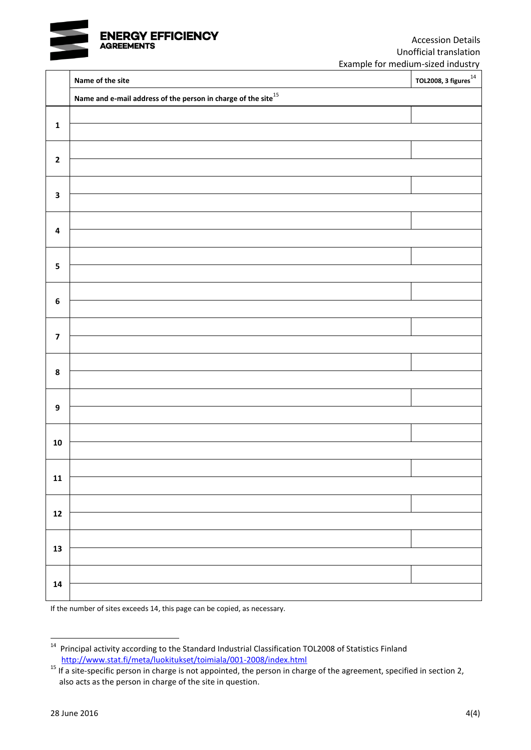

|                         | Name of the site                                                    | -----<br>TOL2008, 3 figures $^{14}$ |
|-------------------------|---------------------------------------------------------------------|-------------------------------------|
|                         | Name and e-mail address of the person in charge of the site $^{15}$ |                                     |
|                         |                                                                     |                                     |
| $\mathbf 1$             |                                                                     |                                     |
|                         |                                                                     |                                     |
| $\mathbf 2$             |                                                                     |                                     |
| $\mathbf 3$             |                                                                     |                                     |
|                         |                                                                     |                                     |
| $\pmb{4}$               |                                                                     |                                     |
|                         |                                                                     |                                     |
| ${\bf 5}$               |                                                                     |                                     |
|                         |                                                                     |                                     |
| $\bf 6$                 |                                                                     |                                     |
|                         |                                                                     |                                     |
| $\overline{\mathbf{z}}$ |                                                                     |                                     |
|                         |                                                                     |                                     |
| $\pmb{8}$               |                                                                     |                                     |
|                         |                                                                     |                                     |
| $\boldsymbol{9}$        |                                                                     |                                     |
|                         |                                                                     |                                     |
| ${\bf 10}$              |                                                                     |                                     |
|                         |                                                                     |                                     |
| ${\bf 11}$              |                                                                     |                                     |
|                         |                                                                     |                                     |
| $12$                    |                                                                     |                                     |
|                         |                                                                     |                                     |
|                         |                                                                     |                                     |
| $\boldsymbol{13}$       |                                                                     |                                     |
|                         |                                                                     |                                     |

If the number of sites exceeds 14, this page can be copied, as necessary.

 14 Principal activity according to the Standard Industrial Classification TOL2008 of Statistics Finland <http://www.stat.fi/meta/luokitukset/toimiala/001-2008/index.html>

<sup>15</sup> If a site-specific person in charge is not appointed, the person in charge of the agreement, specified in section 2, also acts as the person in charge of the site in question.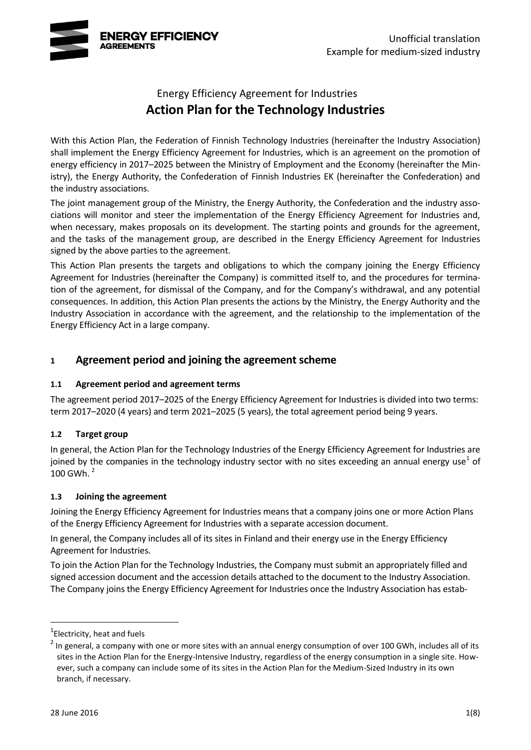

# Energy Efficiency Agreement for Industries **Action Plan for the Technology Industries**

With this Action Plan, the Federation of Finnish Technology Industries (hereinafter the Industry Association) shall implement the Energy Efficiency Agreement for Industries, which is an agreement on the promotion of energy efficiency in 2017–2025 between the Ministry of Employment and the Economy (hereinafter the Ministry), the Energy Authority, the Confederation of Finnish Industries EK (hereinafter the Confederation) and the industry associations.

The joint management group of the Ministry, the Energy Authority, the Confederation and the industry associations will monitor and steer the implementation of the Energy Efficiency Agreement for Industries and, when necessary, makes proposals on its development. The starting points and grounds for the agreement, and the tasks of the management group, are described in the Energy Efficiency Agreement for Industries signed by the above parties to the agreement.

This Action Plan presents the targets and obligations to which the company joining the Energy Efficiency Agreement for Industries (hereinafter the Company) is committed itself to, and the procedures for termination of the agreement, for dismissal of the Company, and for the Company's withdrawal, and any potential consequences. In addition, this Action Plan presents the actions by the Ministry, the Energy Authority and the Industry Association in accordance with the agreement, and the relationship to the implementation of the Energy Efficiency Act in a large company.

### **1 Agreement period and joining the agreement scheme**

### **1.1 Agreement period and agreement terms**

The agreement period 2017–2025 of the Energy Efficiency Agreement for Industries is divided into two terms: term 2017–2020 (4 years) and term 2021–2025 (5 years), the total agreement period being 9 years.

### **1.2 Target group**

<span id="page-5-0"></span>In general, the Action Plan for the Technology Industries of the Energy Efficiency Agreement for Industries are joined by the companies in the technology industry sector with no sites exceeding an annual energy use<sup>1</sup> of 100 GWh. $^2$ 

### **1.3 Joining the agreement**

Joining the Energy Efficiency Agreement for Industries means that a company joins one or more Action Plans of the Energy Efficiency Agreement for Industries with a separate accession document.

In general, the Company includes all of its sites in Finland and their energy use in the Energy Efficiency Agreement for Industries.

To join the Action Plan for the Technology Industries, the Company must submit an appropriately filled and signed accession document and the accession details attached to the document to the Industry Association. The Company joins the Energy Efficiency Agreement for Industries once the Industry Association has estab-

<sup>&</sup>lt;sup>1</sup> Electricity, heat and fuels

 $2$  In general, a company with one or more sites with an annual energy consumption of over 100 GWh, includes all of its sites in the Action Plan for the Energy-Intensive Industry, regardless of the energy consumption in a single site. However, such a company can include some of its sites in the Action Plan for the Medium-Sized Industry in its own branch, if necessary.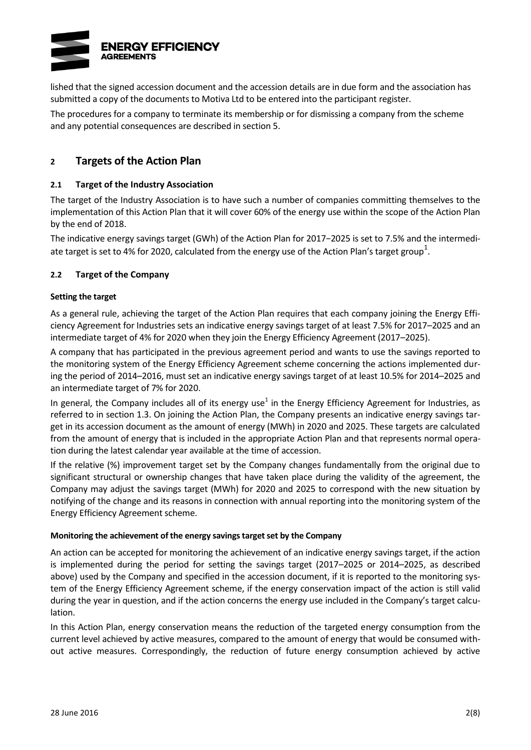

lished that the signed accession document and the accession details are in due form and the association has submitted a copy of the documents to Motiva Ltd to be entered into the participant register.

The procedures for a company to terminate its membership or for dismissing a company from the scheme and any potential consequences are described in section 5.

### **2 Targets of the Action Plan**

#### **2.1 Target of the Industry Association**

The target of the Industry Association is to have such a number of companies committing themselves to the implementation of this Action Plan that it will cover 60% of the energy use within the scope of the Action Plan by the end of 2018.

The indicative energy savings target (GWh) of the Action Plan for 2017−2025 is set to 7.5% and the intermedi-ate target is set to 4% for 2020, calculated from the energy use of the Action Plan's target group<sup>[1](#page-5-0)</sup>.

#### **2.2 Target of the Company**

#### **Setting the target**

As a general rule, achieving the target of the Action Plan requires that each company joining the Energy Efficiency Agreement for Industries sets an indicative energy savings target of at least 7.5% for 2017–2025 and an intermediate target of 4% for 2020 when they join the Energy Efficiency Agreement (2017–2025).

A company that has participated in the previous agreement period and wants to use the savings reported to the monitoring system of the Energy Efficiency Agreement scheme concerning the actions implemented during the period of 2014–2016, must set an indicative energy savings target of at least 10.5% for 2014–2025 and an intermediate target of 7% for 2020.

In general, the Company includes all of its energy use<sup>[1](#page-5-0)</sup> in the Energy Efficiency Agreement for Industries, as referred to in section 1.3. On joining the Action Plan, the Company presents an indicative energy savings target in its accession document as the amount of energy (MWh) in 2020 and 2025. These targets are calculated from the amount of energy that is included in the appropriate Action Plan and that represents normal operation during the latest calendar year available at the time of accession.

If the relative (%) improvement target set by the Company changes fundamentally from the original due to significant structural or ownership changes that have taken place during the validity of the agreement, the Company may adjust the savings target (MWh) for 2020 and 2025 to correspond with the new situation by notifying of the change and its reasons in connection with annual reporting into the monitoring system of the Energy Efficiency Agreement scheme.

#### **Monitoring the achievement of the energy savings target set by the Company**

An action can be accepted for monitoring the achievement of an indicative energy savings target, if the action is implemented during the period for setting the savings target (2017–2025 or 2014–2025, as described above) used by the Company and specified in the accession document, if it is reported to the monitoring system of the Energy Efficiency Agreement scheme, if the energy conservation impact of the action is still valid during the year in question, and if the action concerns the energy use included in the Company's target calculation.

In this Action Plan, energy conservation means the reduction of the targeted energy consumption from the current level achieved by active measures, compared to the amount of energy that would be consumed without active measures. Correspondingly, the reduction of future energy consumption achieved by active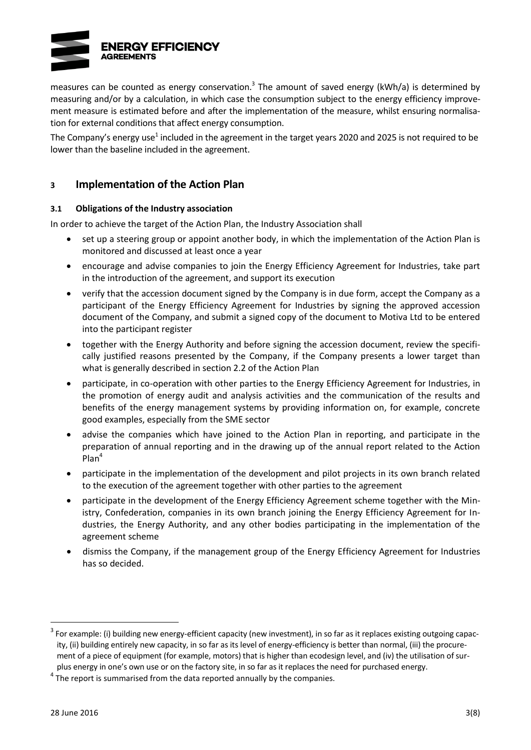

measures can be counted as energy conservation.<sup>3</sup> The amount of saved energy (kWh/a) is determined by measuring and/or by a calculation, in which case the consumption subject to the energy efficiency improvement measure is estimated before and after the implementation of the measure, whilst ensuring normalisation for external conditions that affect energy consumption.

The Company's energy use<sup>[1](#page-5-0)</sup> included in the agreement in the target years 2020 and 2025 is not required to be lower than the baseline included in the agreement.

### **3 Implementation of the Action Plan**

#### **3.1 Obligations of the Industry association**

In order to achieve the target of the Action Plan, the Industry Association shall

- set up a steering group or appoint another body, in which the implementation of the Action Plan is monitored and discussed at least once a year
- encourage and advise companies to join the Energy Efficiency Agreement for Industries, take part in the introduction of the agreement, and support its execution
- verify that the accession document signed by the Company is in due form, accept the Company as a participant of the Energy Efficiency Agreement for Industries by signing the approved accession document of the Company, and submit a signed copy of the document to Motiva Ltd to be entered into the participant register
- together with the Energy Authority and before signing the accession document, review the specifically justified reasons presented by the Company, if the Company presents a lower target than what is generally described in section 2.2 of the Action Plan
- participate, in co-operation with other parties to the Energy Efficiency Agreement for Industries, in the promotion of energy audit and analysis activities and the communication of the results and benefits of the energy management systems by providing information on, for example, concrete good examples, especially from the SME sector
- advise the companies which have joined to the Action Plan in reporting, and participate in the preparation of annual reporting and in the drawing up of the annual report related to the Action Plan<sup>4</sup>
- participate in the implementation of the development and pilot projects in its own branch related to the execution of the agreement together with other parties to the agreement
- participate in the development of the Energy Efficiency Agreement scheme together with the Ministry, Confederation, companies in its own branch joining the Energy Efficiency Agreement for Industries, the Energy Authority, and any other bodies participating in the implementation of the agreement scheme
- dismiss the Company, if the management group of the Energy Efficiency Agreement for Industries has so decided.

 $3$  For example: (i) building new energy-efficient capacity (new investment), in so far as it replaces existing outgoing capacity, (ii) building entirely new capacity, in so far as its level of energy-efficiency is better than normal, (iii) the procurement of a piece of equipment (for example, motors) that is higher than ecodesign level, and (iv) the utilisation of surplus energy in one's own use or on the factory site, in so far as it replaces the need for purchased energy.

 $<sup>4</sup>$  The report is summarised from the data reported annually by the companies.</sup>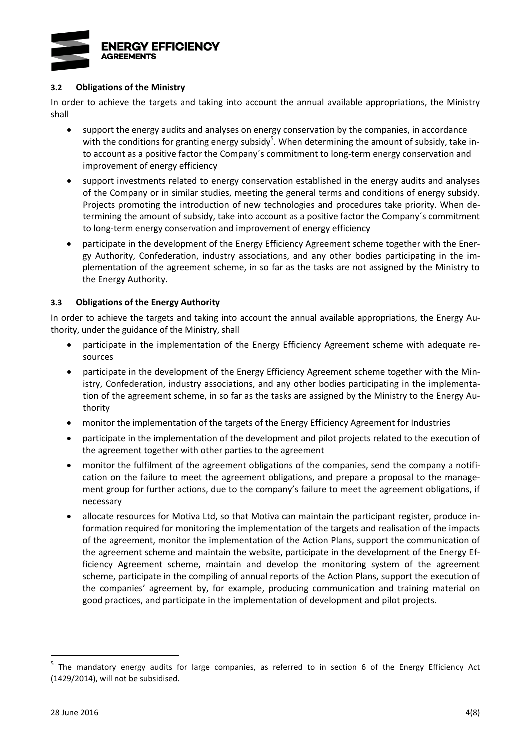

#### **3.2 Obligations of the Ministry**

In order to achieve the targets and taking into account the annual available appropriations, the Ministry shall

- support the energy audits and analyses on energy conservation by the companies, in accordance with the conditions for granting energy subsidy<sup>5</sup>. When determining the amount of subsidy, take into account as a positive factor the Company´s commitment to long-term energy conservation and improvement of energy efficiency
- support investments related to energy conservation established in the energy audits and analyses of the Company or in similar studies, meeting the general terms and conditions of energy subsidy. Projects promoting the introduction of new technologies and procedures take priority. When determining the amount of subsidy, take into account as a positive factor the Company´s commitment to long-term energy conservation and improvement of energy efficiency
- participate in the development of the Energy Efficiency Agreement scheme together with the Energy Authority, Confederation, industry associations, and any other bodies participating in the implementation of the agreement scheme, in so far as the tasks are not assigned by the Ministry to the Energy Authority.

#### **3.3 Obligations of the Energy Authority**

In order to achieve the targets and taking into account the annual available appropriations, the Energy Authority, under the guidance of the Ministry, shall

- participate in the implementation of the Energy Efficiency Agreement scheme with adequate resources
- participate in the development of the Energy Efficiency Agreement scheme together with the Ministry, Confederation, industry associations, and any other bodies participating in the implementation of the agreement scheme, in so far as the tasks are assigned by the Ministry to the Energy Authority
- monitor the implementation of the targets of the Energy Efficiency Agreement for Industries
- participate in the implementation of the development and pilot projects related to the execution of the agreement together with other parties to the agreement
- monitor the fulfilment of the agreement obligations of the companies, send the company a notification on the failure to meet the agreement obligations, and prepare a proposal to the management group for further actions, due to the company's failure to meet the agreement obligations, if necessary
- allocate resources for Motiva Ltd, so that Motiva can maintain the participant register, produce information required for monitoring the implementation of the targets and realisation of the impacts of the agreement, monitor the implementation of the Action Plans, support the communication of the agreement scheme and maintain the website, participate in the development of the Energy Efficiency Agreement scheme, maintain and develop the monitoring system of the agreement scheme, participate in the compiling of annual reports of the Action Plans, support the execution of the companies' agreement by, for example, producing communication and training material on good practices, and participate in the implementation of development and pilot projects.

<sup>&</sup>lt;sup>5</sup> The mandatory energy audits for large companies, as referred to in section 6 of the Energy Efficiency Act (1429/2014), will not be subsidised.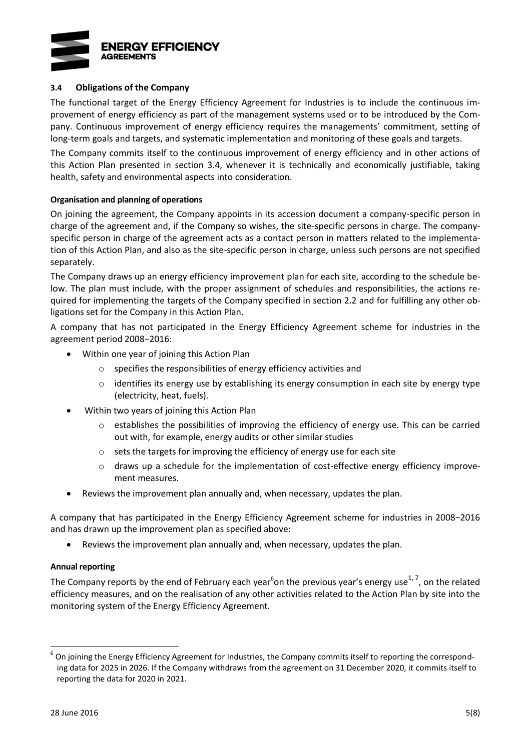

#### **3.4 Obligations of the Company**

The functional target of the Energy Efficiency Agreement for Industries is to include the continuous improvement of energy efficiency as part of the management systems used or to be introduced by the Company. Continuous improvement of energy efficiency requires the managements' commitment, setting of long-term goals and targets, and systematic implementation and monitoring of these goals and targets.

The Company commits itself to the continuous improvement of energy efficiency and in other actions of this Action Plan presented in section 3.4, whenever it is technically and economically justifiable, taking health, safety and environmental aspects into consideration.

#### **Organisation and planning of operations**

On joining the agreement, the Company appoints in its accession document a company-specific person in charge of the agreement and, if the Company so wishes, the site-specific persons in charge. The companyspecific person in charge of the agreement acts as a contact person in matters related to the implementation of this Action Plan, and also as the site-specific person in charge, unless such persons are not specified separately.

The Company draws up an energy efficiency improvement plan for each site, according to the schedule below. The plan must include, with the proper assignment of schedules and responsibilities, the actions required for implementing the targets of the Company specified in section 2.2 and for fulfilling any other obligations set for the Company in this Action Plan.

A company that has not participated in the Energy Efficiency Agreement scheme for industries in the agreement period 2008−2016:

- Within one year of joining this Action Plan
	- o specifies the responsibilities of energy efficiency activities and
	- $\circ$  identifies its energy use by establishing its energy consumption in each site by energy type (electricity, heat, fuels).
- Within two years of joining this Action Plan
	- $\circ$  establishes the possibilities of improving the efficiency of energy use. This can be carried out with, for example, energy audits or other similar studies
	- o sets the targets for improving the efficiency of energy use for each site
	- o draws up a schedule for the implementation of cost-effective energy efficiency improvement measures.
- Reviews the improvement plan annually and, when necessary, updates the plan.

A company that has participated in the Energy Efficiency Agreement scheme for industries in 2008−2016 and has drawn up the improvement plan as specified above:

<span id="page-9-1"></span><span id="page-9-0"></span>Reviews the improvement plan annually and, when necessary, updates the plan.

#### **Annual reporting**

The Company reports by the end of February each year<sup>6</sup>on the previous year's energy use<sup>1,7</sup>, on the related efficiency measures, and on the realisation of any other activities related to the Action Plan by site into the monitoring system of the Energy Efficiency Agreement.

 $^6$  On joining the Energy Efficiency Agreement for Industries, the Company commits itself to reporting the corresponding data for 2025 in 2026. If the Company withdraws from the agreement on 31 December 2020, it commits itself to reporting the data for 2020 in 2021.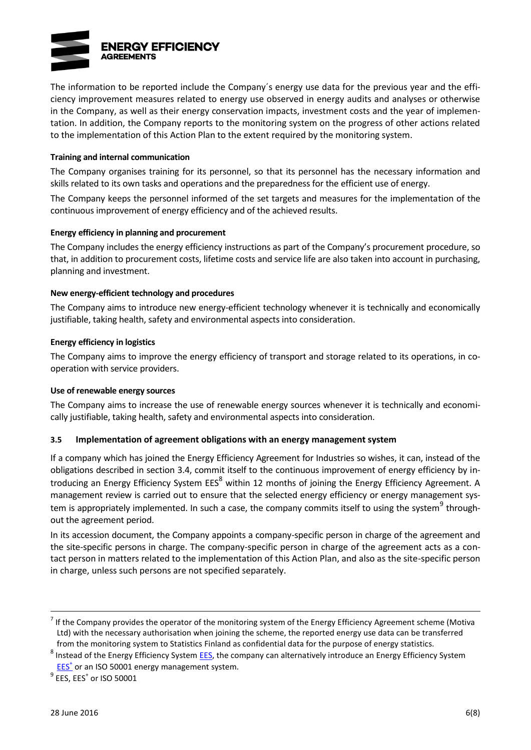

The information to be reported include the Company´s energy use data for the previous year and the efficiency improvement measures related to energy use observed in energy audits and analyses or otherwise in the Company, as well as their energy conservation impacts, investment costs and the year of implementation. In addition, the Company reports to the monitoring system on the progress of other actions related to the implementation of this Action Plan to the extent required by the monitoring system.

#### **Training and internal communication**

The Company organises training for its personnel, so that its personnel has the necessary information and skills related to its own tasks and operations and the preparedness for the efficient use of energy.

The Company keeps the personnel informed of the set targets and measures for the implementation of the continuous improvement of energy efficiency and of the achieved results.

#### **Energy efficiency in planning and procurement**

The Company includes the energy efficiency instructions as part of the Company's procurement procedure, so that, in addition to procurement costs, lifetime costs and service life are also taken into account in purchasing, planning and investment.

#### **New energy-efficient technology and procedures**

The Company aims to introduce new energy-efficient technology whenever it is technically and economically justifiable, taking health, safety and environmental aspects into consideration.

#### **Energy efficiency in logistics**

The Company aims to improve the energy efficiency of transport and storage related to its operations, in cooperation with service providers.

#### **Use of renewable energy sources**

The Company aims to increase the use of renewable energy sources whenever it is technically and economically justifiable, taking health, safety and environmental aspects into consideration.

#### **3.5 Implementation of agreement obligations with an energy management system**

If a company which has joined the Energy Efficiency Agreement for Industries so wishes, it can, instead of the obligations described in section 3.4, commit itself to the continuous improvement of energy efficiency by introducing an Energy Efficiency System EES<sup>8</sup> within 12 months of joining the Energy Efficiency Agreement. A management review is carried out to ensure that the selected energy efficiency or energy management system is appropriately implemented. In such a case, the company commits itself to using the system<sup>9</sup> throughout the agreement period.

In its accession document, the Company appoints a company-specific person in charge of the agreement and the site-specific persons in charge. The company-specific person in charge of the agreement acts as a contact person in matters related to the implementation of this Action Plan, and also as the site-specific person in charge, unless such persons are not specified separately.

 $^7$  If the Company provides the operator of the monitoring system of the Energy Efficiency Agreement scheme (Motiva Ltd) with the necessary authorisation when joining the scheme, the reported energy use data can be transferred from the monitoring system to Statistics Finland as confidential data for the purpose of energy statistics.

<sup>&</sup>lt;sup>8</sup> Instead of the Energy Efficiency System [EES,](http://www.energiatehokkuussopimukset.fi/fi/tietoa_sopimuksista/sopimustoiminnan_kulmakivet/jatkuva_parantaminen/energiatehokkuusjarjestelma/) the company can alternatively introduce an Energy Efficiency System **[EES](http://motiva.fi/toimialueet/energiakatselmustoiminta/pakollinen_suuren_yrityksen_energiakatselmus/energiatehokkuusjarjestelma_etj)<sup>+</sup>** or an ISO 50001 energy management system.

 $^9$  EES, EES $^+$  or ISO 50001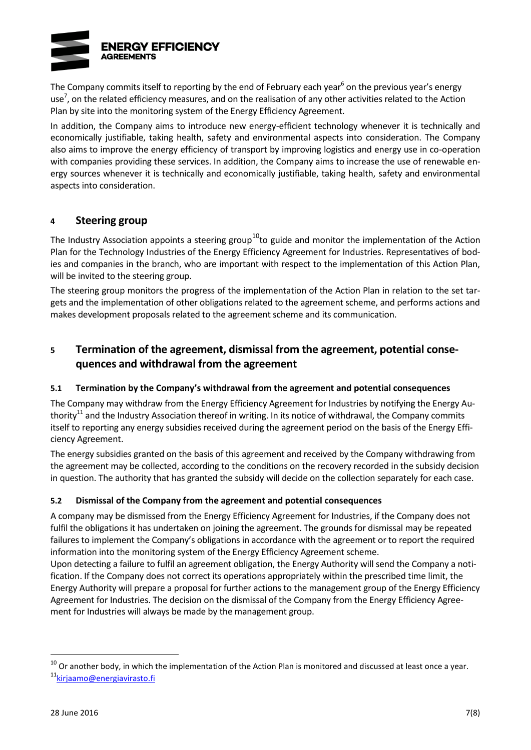

The Company commits itself to [r](#page-9-0)eporting by the end of February each year<sup>6</sup> on the previous year's energy use<sup>7</sup>[,](#page-9-1) on the related efficiency measures, and on the realisation of any other activities related to the Action Plan by site into the monitoring system of the Energy Efficiency Agreement.

In addition, the Company aims to introduce new energy-efficient technology whenever it is technically and economically justifiable, taking health, safety and environmental aspects into consideration. The Company also aims to improve the energy efficiency of transport by improving logistics and energy use in co-operation with companies providing these services. In addition, the Company aims to increase the use of renewable energy sources whenever it is technically and economically justifiable, taking health, safety and environmental aspects into consideration.

### **4 Steering group**

The Industry Association appoints a steering group<sup>10</sup>to guide and monitor the implementation of the Action Plan for the Technology Industries of the Energy Efficiency Agreement for Industries. Representatives of bodies and companies in the branch, who are important with respect to the implementation of this Action Plan, will be invited to the steering group.

The steering group monitors the progress of the implementation of the Action Plan in relation to the set targets and the implementation of other obligations related to the agreement scheme, and performs actions and makes development proposals related to the agreement scheme and its communication.

## **5 Termination of the agreement, dismissal from the agreement, potential consequences and withdrawal from the agreement**

### **5.1 Termination by the Company's withdrawal from the agreement and potential consequences**

<span id="page-11-0"></span>The Company may withdraw from the Energy Efficiency Agreement for Industries by notifying the Energy Authority $11$  and the Industry Association thereof in writing. In its notice of withdrawal, the Company commits itself to reporting any energy subsidies received during the agreement period on the basis of the Energy Efficiency Agreement.

The energy subsidies granted on the basis of this agreement and received by the Company withdrawing from the agreement may be collected, according to the conditions on the recovery recorded in the subsidy decision in question. The authority that has granted the subsidy will decide on the collection separately for each case.

### **5.2 Dismissal of the Company from the agreement and potential consequences**

A company may be dismissed from the Energy Efficiency Agreement for Industries, if the Company does not fulfil the obligations it has undertaken on joining the agreement. The grounds for dismissal may be repeated failures to implement the Company's obligations in accordance with the agreement or to report the required information into the monitoring system of the Energy Efficiency Agreement scheme.

Upon detecting a failure to fulfil an agreement obligation, the Energy Authority will send the Company a notification. If the Company does not correct its operations appropriately within the prescribed time limit, the Energy Authority will prepare a proposal for further actions to the management group of the Energy Efficiency Agreement for Industries. The decision on the dismissal of the Company from the Energy Efficiency Agreement for Industries will always be made by the management group.

 $\overline{a}$ 

 $10$  Or another body, in which the implementation of the Action Plan is monitored and discussed at least once a year.

<sup>&</sup>lt;sup>11</sup> [kirjaamo@energiavirasto.fi](mailto:kirjaamo@energiavirasto.fi)